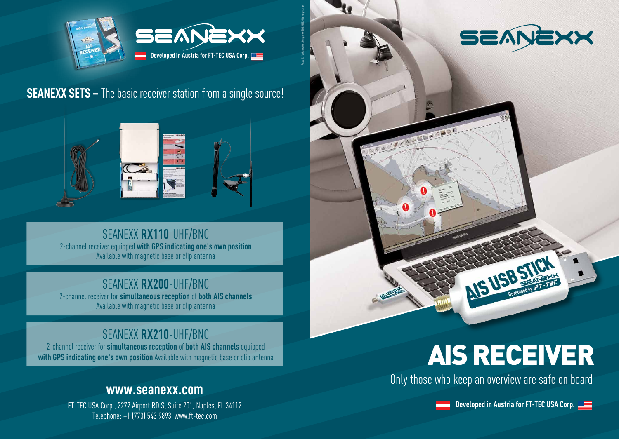

Fotos © Fotolia.de, Gestaltung: www.EDELWEISS-Werbeagentur.at

**SEANEXX SETS –** The basic receiver station from a single source!



SEANEXX **RX110**-UHF/BNC 2-channel receiver equipped **with GPS indicating one's own position** Available with magnetic base or clip antenna

### SEANEXX **RX200**-UHF/BNC

2-channel receiver for **simultaneous reception** of **both AIS channels** Available with magnetic base or clip antenna

### SEANEXX **RX210**-UHF/BNC

2-channel receiver for **simultaneous reception** of **both AIS channels** equipped **with GPS indicating one's own position** Available with magnetic base or clip antenna

#### **www.seanexx.com**

FT-TEC USA Corp., 2272 Airport RD S, Suite 201, Naples, FL 34112 **Developed in Austria for FT-TEC USA Corp. Developed in Austria for FT-TEC USA Corp.** Telephone: +1 (773) 543 9893, www.ft-tec.com



## AIS RECEIVER

AIS USB STICK

Only those who keep an overview are safe on board